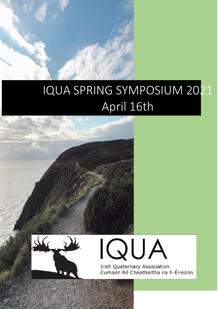# IQUA SPRING SYMPOSIUM 2021 April 16th





**Irish Quaternary Association** Cumann Ré Cheathartha na h-Éireann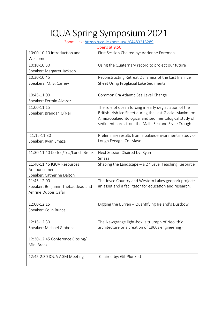# IQUA Spring Symposium 2021

Zoom Link:<https://ucd-ie.zoom.us/j/64483215289>

| Opens at 9:50                      |                                                                     |
|------------------------------------|---------------------------------------------------------------------|
| 10:00-10:10 Introduction and       | First Session Chaired by: Adrienne Foreman                          |
| Welcome                            |                                                                     |
| 10:10-10:30                        | Using the Quaternary record to project our future                   |
| Speaker: Margaret Jackson          |                                                                     |
| 10:30-10:45                        | Reconstructing Retreat Dynamics of the Last Irish Ice               |
| Speakers: M. B. Carney             | Sheet Using Proglacial Lake Sediments                               |
|                                    |                                                                     |
| 10:45-11:00                        | Common Era Atlantic Sea Level Change                                |
| Speaker: Fermin Alvarez            |                                                                     |
| 11:00-11:15                        | The role of ocean forcing in early deglaciation of the              |
| Speaker: Brendan O'Neill           | British-Irish Ice Sheet during the Last Glacial Maximum:            |
|                                    | A micropalaeontological and sedimentological study of               |
|                                    | sediment cores from the Malin Sea and Slyne Trough                  |
|                                    |                                                                     |
| 11:15-11:30                        | Preliminary results from a palaeoenvionmental study of              |
| Speaker: Ryan Smazal               | Lough Feeagh, Co. Mayo                                              |
| 11:30-11:40 Coffee/Tea/Lunch Break | Next Session Chaired by: Ryan                                       |
|                                    | Smazal                                                              |
| 11:40-11:45 IQUA Resources         | Shaping the Landscape $-$ a 2 <sup>nd</sup> Level Teaching Resource |
| Announcement                       |                                                                     |
| Speaker: Catherine Dalton          |                                                                     |
| 11:45-12:00                        | The Joyce Country and Western Lakes geopark project;                |
| Speaker: Benjamin Thébaudeau and   | an asset and a facilitator for education and research.              |
| Amrine Dubois Gafar                |                                                                     |
|                                    |                                                                     |
| 12:00-12:15                        | Digging the Burren - Quantifying Ireland's Dustbowl                 |
| Speaker: Colin Bunce               |                                                                     |
|                                    |                                                                     |
| 12:15-12:30                        | The Newgrange light-box: a triumph of Neolithic                     |
| Speaker: Michael Gibbons           | architecture or a creation of 1960s engineering?                    |
|                                    |                                                                     |
| 12:30-12:45 Conference Closing/    |                                                                     |
| Mini Break                         |                                                                     |
|                                    |                                                                     |
| 12:45-2:30 IQUA AGM Meeting        | Chaired by: Gill Plunkett                                           |
|                                    |                                                                     |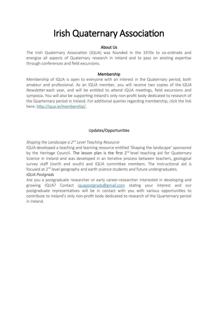# Irish Quaternary Association

#### About Us

The Irish Quaternary Association (IQUA) was founded in the 1970s to co-ordinate and energise all aspects of Quaternary research in Ireland and to pass on existing expertise through conferences and field excursions.

#### Membership

Membership of IQUA is open to everyone with an interest in the Quaternary period, both amateur and professional. As an IQUA member, you will receive two copies of the *IQUA Newsletter* each year, and will be entitled to attend IQUA meetings, field excursions and symposia. You will also be supporting Ireland's only non-profit body dedicated to research of the Quarternary period in Ireland. For additional queries regarding membership, click the link here:<http://iqua.ie/membership/>.

# Updates/Opportunities

### *Shaping the Landscape a 2nd Level Teaching Resource*

IQUA developed a teaching and learning resource entitled 'Shaping the landscape' sponsored by the Heritage Council. The lesson plan is the first  $2<sup>nd</sup>$  level teaching aid for Quaternary Science in Ireland and was developed in an iterative process between teachers, geological survey staff (north and south) and IQUA committee members. The instructional aid is focused at 2<sup>nd</sup> level geography and earth science students and future undergraduates.

### *IQUA Postgrads*

Are you a postgraduate researcher or early career-researcher interested in developing and growing IQUA? Contact [iquapostgrads@gmail.com](mailto:iquapostgrads@gmail.com) stating your interest and our postgraduate representatives will be in contact with you with various opportunities to contribute to Ireland's only non-profit body dedicated to research of the Quarternary period in Ireland.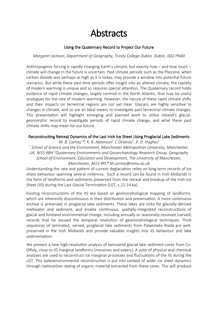# **Abstracts**

# Using the Quaternary Record to Project Our Future

### *Margaret Jackson, Department of Geography, Trinity College Dublin, Dublin, D02 PN40*

Anthropogenic forcing is rapidly changing Earth's climate, but exactly how – and how much – climate will change in the future is uncertain. Past climate periods such as the Pliocene, when carbon dioxide was perhaps as high as it is today, may provide a window into potential future scenarios. But while these past time periods offer insight into an altered climate, the rapidity of modern warming is unique and so requires special attention. The Quaternary record holds evidence of rapid climate changes, largely centred in the North Atlantic, that may be useful analogues for the rate of modern warming. However, the nature of these rapid climate shifts and their impacts on terrestrial regions are not yet clear. Glaciers are highly sensitive to changes in climate, and so are an ideal means to investigate past terrestrial climate changes. This presentation will highlight emerging and planned work to utilise Ireland's glacialgeomorphic record to investigate periods of rapid climate change, and what these past climate shifts may mean for our future.

## Reconstructing Retreat Dynamics of the Last Irish Ice Sheet Using Proglacial Lake Sediments

*M. B. Carney<sup>1</sup> \*, K. R. Adamson1, C Delaney<sup>1</sup> , P. D. Hughes<sup>2</sup> 1 School of Science and the Environment, Manchester Metropolitan University, Manchester, UK, M15 6BH <sup>2</sup>Quaternary Environments and Geoarchaeology Research Group, Geography School of Environment, Education and Development, The University of Manchester, Manchester, M13 9PL\* M.carney@mmu.ac.uk*

Understanding the rate and pattern of current deglaciation relies on long-term records of ice sheet behaviour spanning several millennia. Such a record can be found in Irish Midlands in the form of landforms and sediments preserved from the retreat and breakup of the Irish Ice Sheet (IIS) during the Last Glacial Termination (LGT, c.21-14 ka).

Existing reconstructions of the IIS are based on geomorphological mapping of landforms, which are inherently discontinuous in their distribution and preservation. A more continuous archive is preserved in proglacial lake sediments. These lakes are sinks for glacially-derived meltwater and sediment, and enable continuous, spatially-integrated reconstructions of glacial and foreland environmental change, including annually or seasonally-resolved (varved) records that far exceed the temporal resolution of geomorphological techniques. Thick sequences of laminated, varved, proglacial lake sediments from Palaeolake Riada are wellpreserved in the Irish Midlands and provide valuable insights into IIS behaviour and lake sedimentation.

We present a new high-resolution analysis of laminated glacial lake sediment cores from Co. Offaly, close to IIS marginal landforms (moraines and eskers). A suite of physical and chemical analyses are used to reconstruct ice marginal processes and fluctuations of the IIS during the LGT. This paleoenvironmental reconstruction is put into context of wider ice sheet dynamics through radiocarbon dating of organic material extracted from these cores. This will produce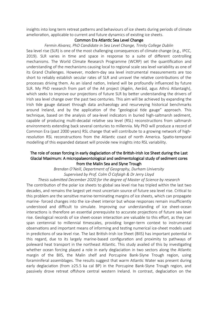insights into long term retreat patterns and behaviours of ice sheets during periods of climate amelioration, applicable to current and future dynamics of existing ice sheets.

#### Common Era Atlantic Sea Level Change

#### *Fermin Alvarez, PhD Candidate in Sea Level Change, Trinity College Dublin*

Sea level rise (SLR) is one of the most challenging consequences of climate change (e.g., IPCC, 2019). SLR varies in time and space in response to a suite of different controlling mechanisms. The World Climate Research Programme (WCRP) set the quantification and understanding of the mechanisms causing local to regional scale sea level variability as one of its Grand Challenges. However, modern-day sea level instrumental measurements are too short to reliably establish secular rates of SLR and unravel the relative contributions of the processes driving them. As an island nation, Ireland will be profoundly influenced by future SLR. My PhD research from part of the A4 project (Aigéin, Aeráid, agus Athrú Atlantaigh), which seeks to improve our projections of future SLR by better understanding the drivers of Irish sea level change over the past two centuries. This aim will be achieved by expanding the Irish tide gauge dataset through data archaeology and resurveying historical benchmarks around Ireland, and by the application of the "geological tide gauge" approach. This technique, based on the analysis of sea-level indicators in buried high-saltmarsh sediment, capable of producing multi-decadal relative sea level (RSL) reconstructions from saltmarsh environments extending back several centuries to millennia. My PhD will produce a record of Common Era (past 2000 years) RSL change that will contribute to a growing network of highresolution RSL reconstructions from the Atlantic coast of north America. Spatio-temporal modelling of this expanded dataset will provide new insights into RSL variability.

### The role of ocean forcing in early deglaciation of the British-Irish Ice Sheet during the Last Glacial Maximum: A micropalaeontological and sedimentological study of sediment cores from the Malin Sea and Slyne Trough

*Brendan O'Neill, Department of Geography, Durham University Supervised by Prof. Colm Ó Cofaigh & Dr Jerry Lloyd*

*Thesis submitted December 2020 for the degree of Master of Science by research* The contribution of the polar ice sheets to global sea level rise has tripled within the last two decades, and remains the largest yet most uncertain source of future sea level rise. Critical to this problem are the sensitive marine-terminating margins of ice sheets, which can propagate marine- forced changes into the ice-sheet interior but whose responses remain insufficiently understood and difficult to simulate. Improving our understanding of ice sheet-ocean interactions is therefore an essential prerequisite to accurate projections of future sea level rise. Geological records of ice sheet-ocean interaction are valuable to this effort, as they can span centennial to millennial timescales, providing longer-term context to instrumental observations and important means of informing and testing numerical ice-sheet models used in predictions of sea-level rise. The last British-Irish Ice Sheet (BIIS) has important potential in this regard, due to its largely marine-based configuration and proximity to pathways of poleward heat transport in the northeast Atlantic. This study availed of this by investigating whether ocean forcing played a role in early deglaciation in two sectors along the Atlantic margin of the BIIS, the Malin shelf and Porcupine Bank-Slyne Trough region, using foraminiferal assemblages. The results suggest that warm Atlantic Water was present during early deglaciation (from ≥25.5 ka cal BP) in the Porcupine Bank-Slyne Trough region, and passively drove retreat offshore central western Ireland. In contrast, deglaciation on the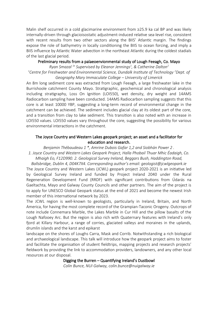Malin shelf occurred in a cold glacimarine environment from ≥25.9 ka cal BP and was likely internally-driven through glacioisostatic adjustment-induced relative sea-level rise, consistent with recent results from two other sectors along the BIIS' Atlantic margin. The findings expose the role of bathymetry in locally conditioning the BIIS to ocean forcing, and imply a BIIS influence by Atlantic Water advection in the northeast Atlantic during the coldest stadials of the last glacial period.

#### Preliminary results from a palaeoenvionmental study of Lough Feeagh, Co. Mayo

*Ryan Smazal 1e Supervised by Eleanor Jennings<sup>1</sup> , & Catherine Dalton<sup>2</sup> 1 Centre for Freshwater and Environmental Science, Dundalk Institute of Technology <sup>2</sup>Dept. of Geography Mary Immaculate College – University of Limerick*

An 8m long sediment core was extracted from Lough Feeagh, a large freshwater lake in the Burrishoole catchment County Mayo. Stratigraphic, geochemical and chronological analysis including stratigraphy, Loss On Ignition (LOI550), wet density, dry weight and 14AMS Radiocarbon sampling have been conducted. 14AMS Radiocarbon sampling suggests that this core is at least 10000 YBP, suggesting a long-term record of environmental change in the catchment can be achieved. The sediment includes glacial clay at its oldest part of the core, and a transition from clay to lake sediment. This transition is also noted with an increase in LOI550 values. LOI550 values vary throughout the core, suggesting the possibility for various environmental interactions in the catchment.

### The Joyce Country and Western Lakes geopark project; an asset and a facilitator for education and research.

*Benjamin Thébaudeau 1 \*, Amrine Dubois Gafar 1,2 and Siobhán Power 2 . 1. Joyce Country and Western Lakes Geopark Project, Halla Phobail Thuar Mhic Éadaigh, Co. Mhaigh Eo, F12D990. 2. Geological Survey Ireland, Beggars Bush, Haddington Road,*

*Ballsbridge, Dublin 4, D04K7X4. Corresponding author's email: geologist@jcwlgeopark.ie* The Joyce Country and Western Lakes (JCWL) geopark project 2020-2021 is an initiative led by Geological Survey Ireland and funded by Project Ireland 2040 under the Rural Regeneration Development Fund (RRDF) with significant contributions from Údarás na Gaeltachta, Mayo and Galway County Councils and other partners. The aim of the project is to apply for UNESCO Global Geopark status at the end of 2021 and become the newest Irish member of this international network by 2023.

The JCWL region is well-known to geologists, particularly in Ireland, Britain, and North America, for having the most complete record of the Grampian-Taconic Orogeny. Outcrops of note include Connemara Marble, the Lakes Marble in Cur Hill and the pillow basalts of the Lough Nafooey Arc. But the region is also rich with Quaternary features with Ireland's only fjord at Killary Harbour, a range of corries, glaciated valleys and moraines in the uplands, drumlin islands and the karst and epikarst

landscape on the shores of Loughs Carra, Mask and Corrib. Notwithstanding a rich biological and archaeological landscape. This talk will introduce how the geopark project aims to foster and facilitate the organisation of student fieldtrips, mapping projects and research projects' fieldwork by providing the link to accommodation providers, landowners, and any other local resources at our disposal.

#### Digging the Burren – Quantifying Ireland's Dustbowl

*Colin Bunce, NUI Galway, colin.bunce@nuigalway.ie*